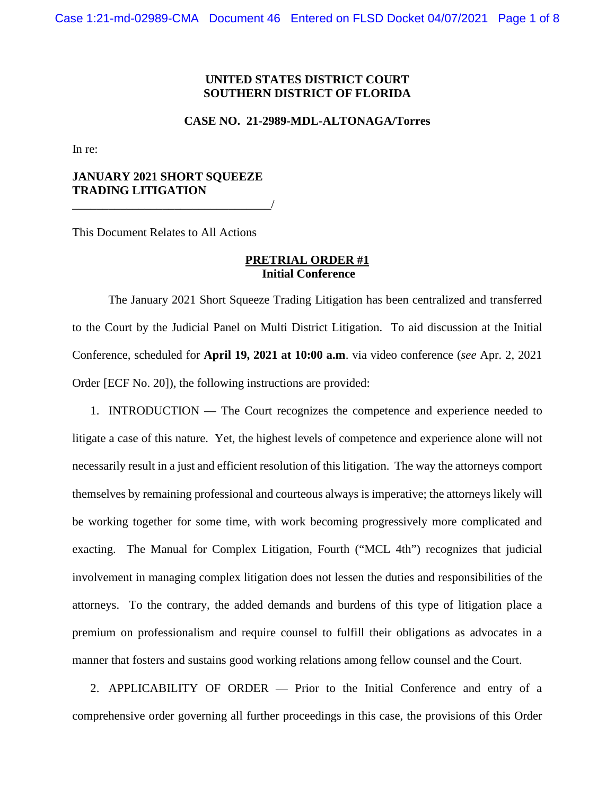### **UNITED STATES DISTRICT COURT SOUTHERN DISTRICT OF FLORIDA**

#### **CASE NO. 21-2989-MDL-ALTONAGA/Torres**

In re:

### **JANUARY 2021 SHORT SQUEEZE TRADING LITIGATION**

\_\_\_\_\_\_\_\_\_\_\_\_\_\_\_\_\_\_\_\_\_\_\_\_\_\_\_\_\_\_\_\_\_/

This Document Relates to All Actions

### **PRETRIAL ORDER #1 Initial Conference**

The January 2021 Short Squeeze Trading Litigation has been centralized and transferred to the Court by the Judicial Panel on Multi District Litigation. To aid discussion at the Initial Conference, scheduled for **April 19, 2021 at 10:00 a.m**. via video conference (*see* Apr. 2, 2021 Order [ECF No. 20]), the following instructions are provided:

1. INTRODUCTION — The Court recognizes the competence and experience needed to litigate a case of this nature. Yet, the highest levels of competence and experience alone will not necessarily result in a just and efficient resolution of this litigation. The way the attorneys comport themselves by remaining professional and courteous always is imperative; the attorneys likely will be working together for some time, with work becoming progressively more complicated and exacting. The Manual for Complex Litigation, Fourth ("MCL 4th") recognizes that judicial involvement in managing complex litigation does not lessen the duties and responsibilities of the attorneys. To the contrary, the added demands and burdens of this type of litigation place a premium on professionalism and require counsel to fulfill their obligations as advocates in a manner that fosters and sustains good working relations among fellow counsel and the Court.

2. APPLICABILITY OF ORDER — Prior to the Initial Conference and entry of a comprehensive order governing all further proceedings in this case, the provisions of this Order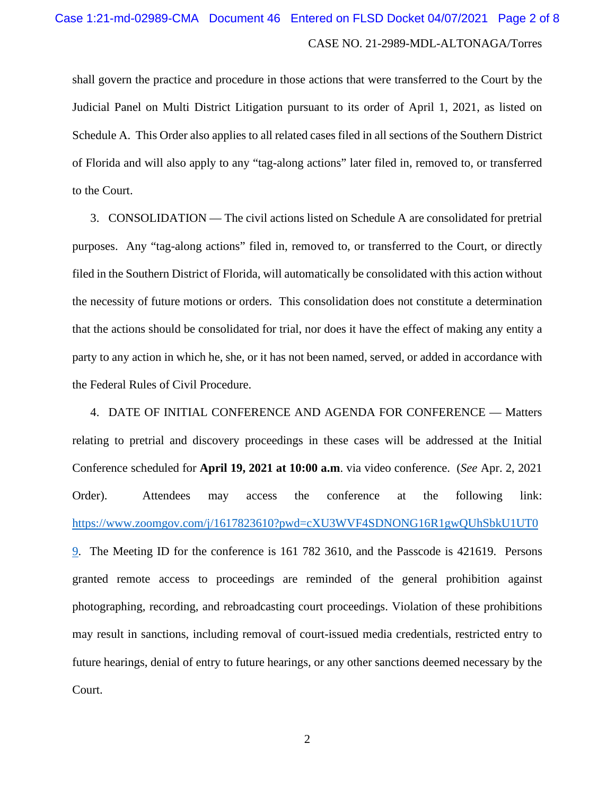# CASE NO. 21-2989-MDL-ALTONAGA/Torres Case 1:21-md-02989-CMA Document 46 Entered on FLSD Docket 04/07/2021 Page 2 of 8

shall govern the practice and procedure in those actions that were transferred to the Court by the Judicial Panel on Multi District Litigation pursuant to its order of April 1, 2021, as listed on Schedule A. This Order also applies to all related cases filed in all sections of the Southern District of Florida and will also apply to any "tag-along actions" later filed in, removed to, or transferred to the Court.

3. CONSOLIDATION — The civil actions listed on Schedule A are consolidated for pretrial purposes. Any "tag-along actions" filed in, removed to, or transferred to the Court, or directly filed in the Southern District of Florida, will automatically be consolidated with this action without the necessity of future motions or orders. This consolidation does not constitute a determination that the actions should be consolidated for trial, nor does it have the effect of making any entity a party to any action in which he, she, or it has not been named, served, or added in accordance with the Federal Rules of Civil Procedure.

4. DATE OF INITIAL CONFERENCE AND AGENDA FOR CONFERENCE — Matters relating to pretrial and discovery proceedings in these cases will be addressed at the Initial Conference scheduled for **April 19, 2021 at 10:00 a.m**. via video conference. (*See* Apr. 2, 2021 Order). Attendees may access the conference at the following link: [https://www.zoomgov.com/j/1617823610?pwd=cXU3WVF4SDNONG16R1gwQUhSbkU1UT0](https://www.zoomgov.com/j/1617823610?pwd=cXU3WVF4SDNONG16R1gwQUhSbkU1UT09) [9.](https://www.zoomgov.com/j/1617823610?pwd=cXU3WVF4SDNONG16R1gwQUhSbkU1UT09) The Meeting ID for the conference is 161 782 3610, and the Passcode is 421619. Persons granted remote access to proceedings are reminded of the general prohibition against photographing, recording, and rebroadcasting court proceedings. Violation of these prohibitions may result in sanctions, including removal of court-issued media credentials, restricted entry to future hearings, denial of entry to future hearings, or any other sanctions deemed necessary by the Court.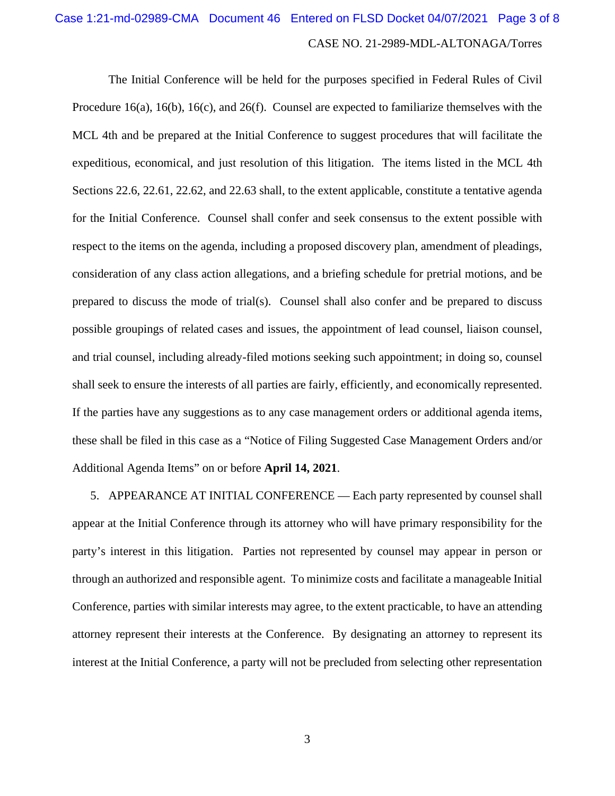## CASE NO. 21-2989-MDL-ALTONAGA/Torres Case 1:21-md-02989-CMA Document 46 Entered on FLSD Docket 04/07/2021 Page 3 of 8

The Initial Conference will be held for the purposes specified in Federal Rules of Civil Procedure 16(a), 16(b), 16(c), and 26(f). Counsel are expected to familiarize themselves with the MCL 4th and be prepared at the Initial Conference to suggest procedures that will facilitate the expeditious, economical, and just resolution of this litigation. The items listed in the MCL 4th Sections 22.6, 22.61, 22.62, and 22.63 shall, to the extent applicable, constitute a tentative agenda for the Initial Conference. Counsel shall confer and seek consensus to the extent possible with respect to the items on the agenda, including a proposed discovery plan, amendment of pleadings, consideration of any class action allegations, and a briefing schedule for pretrial motions, and be prepared to discuss the mode of trial(s). Counsel shall also confer and be prepared to discuss possible groupings of related cases and issues, the appointment of lead counsel, liaison counsel, and trial counsel, including already-filed motions seeking such appointment; in doing so, counsel shall seek to ensure the interests of all parties are fairly, efficiently, and economically represented. If the parties have any suggestions as to any case management orders or additional agenda items, these shall be filed in this case as a "Notice of Filing Suggested Case Management Orders and/or Additional Agenda Items" on or before **April 14, 2021**.

5. APPEARANCE AT INITIAL CONFERENCE — Each party represented by counsel shall appear at the Initial Conference through its attorney who will have primary responsibility for the party's interest in this litigation. Parties not represented by counsel may appear in person or through an authorized and responsible agent. To minimize costs and facilitate a manageable Initial Conference, parties with similar interests may agree, to the extent practicable, to have an attending attorney represent their interests at the Conference. By designating an attorney to represent its interest at the Initial Conference, a party will not be precluded from selecting other representation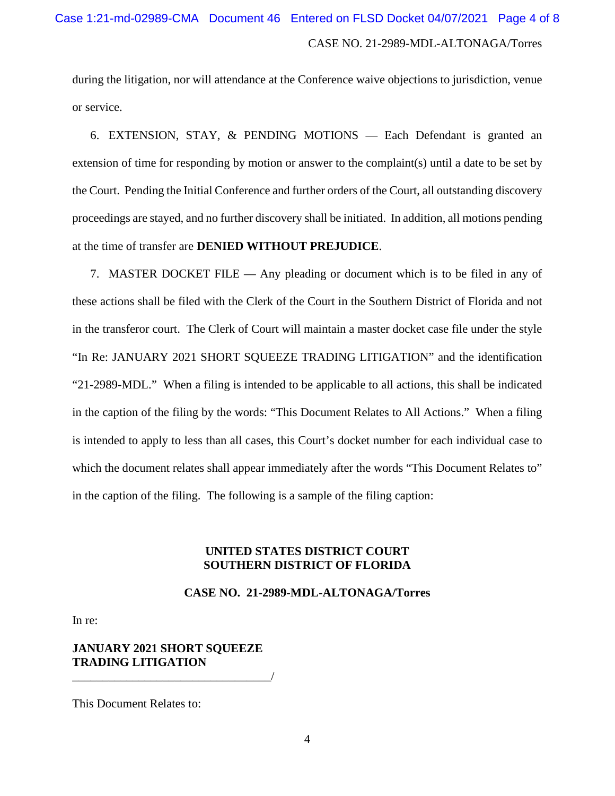during the litigation, nor will attendance at the Conference waive objections to jurisdiction, venue or service.

6. EXTENSION, STAY, & PENDING MOTIONS — Each Defendant is granted an extension of time for responding by motion or answer to the complaint(s) until a date to be set by the Court. Pending the Initial Conference and further orders of the Court, all outstanding discovery proceedings are stayed, and no further discovery shall be initiated. In addition, all motions pending at the time of transfer are **DENIED WITHOUT PREJUDICE**.

7. MASTER DOCKET FILE — Any pleading or document which is to be filed in any of these actions shall be filed with the Clerk of the Court in the Southern District of Florida and not in the transferor court. The Clerk of Court will maintain a master docket case file under the style "In Re: JANUARY 2021 SHORT SQUEEZE TRADING LITIGATION" and the identification "21-2989-MDL." When a filing is intended to be applicable to all actions, this shall be indicated in the caption of the filing by the words: "This Document Relates to All Actions." When a filing is intended to apply to less than all cases, this Court's docket number for each individual case to which the document relates shall appear immediately after the words "This Document Relates to" in the caption of the filing. The following is a sample of the filing caption:

### **UNITED STATES DISTRICT COURT SOUTHERN DISTRICT OF FLORIDA**

### **CASE NO. 21-2989-MDL-ALTONAGA/Torres**

In re:

**JANUARY 2021 SHORT SQUEEZE TRADING LITIGATION**

\_\_\_\_\_\_\_\_\_\_\_\_\_\_\_\_\_\_\_\_\_\_\_\_\_\_\_\_\_\_\_\_\_/

This Document Relates to: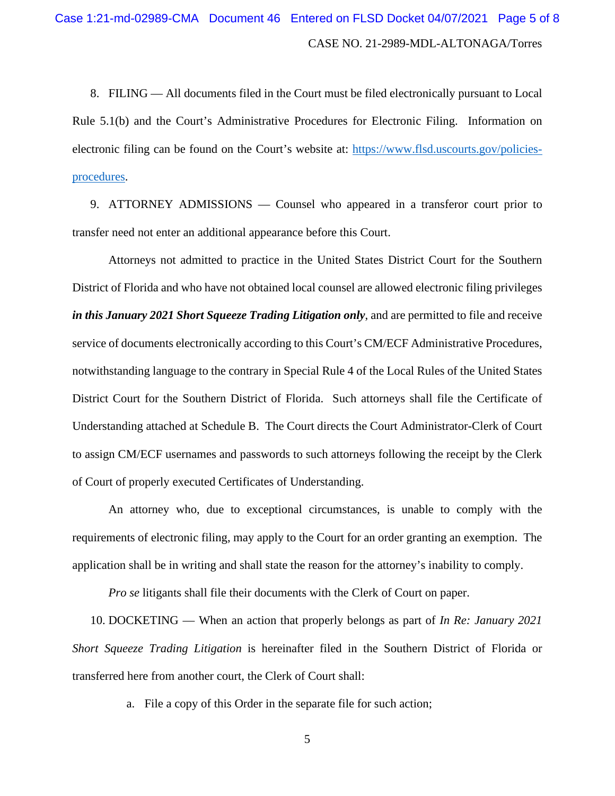8. FILING — All documents filed in the Court must be filed electronically pursuant to Local Rule 5.1(b) and the Court's Administrative Procedures for Electronic Filing. Information on electronic filing can be found on the Court's website at: [https://www.flsd.uscourts.gov/policies](https://www.flsd.uscourts.gov/policies-procedures)[procedures.](https://www.flsd.uscourts.gov/policies-procedures)

9. ATTORNEY ADMISSIONS — Counsel who appeared in a transferor court prior to transfer need not enter an additional appearance before this Court.

Attorneys not admitted to practice in the United States District Court for the Southern District of Florida and who have not obtained local counsel are allowed electronic filing privileges *in this January 2021 Short Squeeze Trading Litigation only*, and are permitted to file and receive service of documents electronically according to this Court's CM/ECF Administrative Procedures, notwithstanding language to the contrary in Special Rule 4 of the Local Rules of the United States District Court for the Southern District of Florida. Such attorneys shall file the Certificate of Understanding attached at Schedule B. The Court directs the Court Administrator-Clerk of Court to assign CM/ECF usernames and passwords to such attorneys following the receipt by the Clerk of Court of properly executed Certificates of Understanding.

An attorney who, due to exceptional circumstances, is unable to comply with the requirements of electronic filing, may apply to the Court for an order granting an exemption. The application shall be in writing and shall state the reason for the attorney's inability to comply.

*Pro se* litigants shall file their documents with the Clerk of Court on paper.

10. DOCKETING — When an action that properly belongs as part of *In Re: January 2021 Short Squeeze Trading Litigation* is hereinafter filed in the Southern District of Florida or transferred here from another court, the Clerk of Court shall:

a. File a copy of this Order in the separate file for such action;

5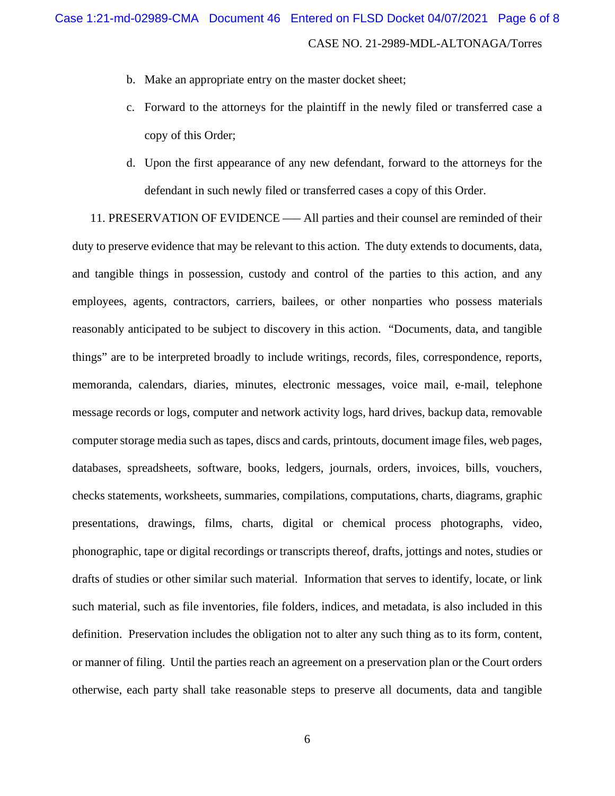- b. Make an appropriate entry on the master docket sheet;
- c. Forward to the attorneys for the plaintiff in the newly filed or transferred case a copy of this Order;
- d. Upon the first appearance of any new defendant, forward to the attorneys for the defendant in such newly filed or transferred cases a copy of this Order.

11. PRESERVATION OF EVIDENCE ––– All parties and their counsel are reminded of their duty to preserve evidence that may be relevant to this action. The duty extends to documents, data, and tangible things in possession, custody and control of the parties to this action, and any employees, agents, contractors, carriers, bailees, or other nonparties who possess materials reasonably anticipated to be subject to discovery in this action. "Documents, data, and tangible things" are to be interpreted broadly to include writings, records, files, correspondence, reports, memoranda, calendars, diaries, minutes, electronic messages, voice mail, e-mail, telephone message records or logs, computer and network activity logs, hard drives, backup data, removable computer storage media such as tapes, discs and cards, printouts, document image files, web pages, databases, spreadsheets, software, books, ledgers, journals, orders, invoices, bills, vouchers, checks statements, worksheets, summaries, compilations, computations, charts, diagrams, graphic presentations, drawings, films, charts, digital or chemical process photographs, video, phonographic, tape or digital recordings or transcripts thereof, drafts, jottings and notes, studies or drafts of studies or other similar such material. Information that serves to identify, locate, or link such material, such as file inventories, file folders, indices, and metadata, is also included in this definition. Preservation includes the obligation not to alter any such thing as to its form, content, or manner of filing. Until the parties reach an agreement on a preservation plan or the Court orders otherwise, each party shall take reasonable steps to preserve all documents, data and tangible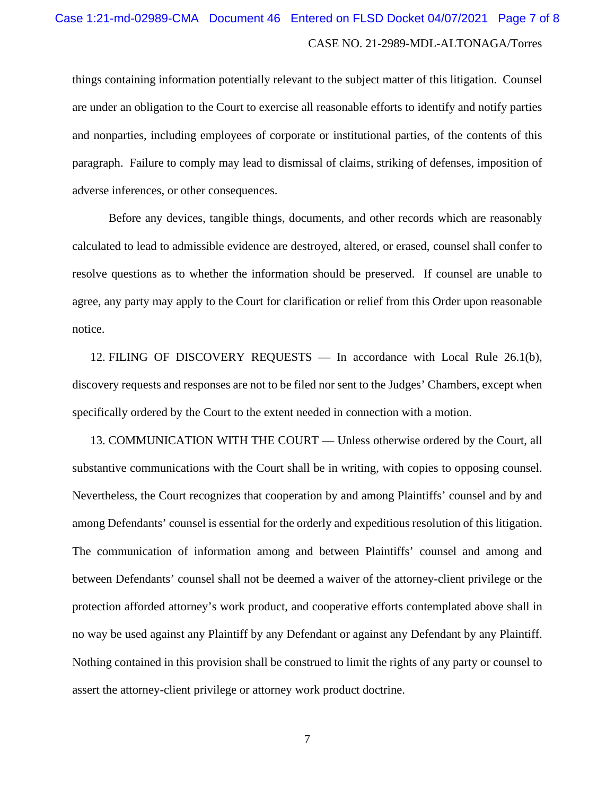# CASE NO. 21-2989-MDL-ALTONAGA/Torres Case 1:21-md-02989-CMA Document 46 Entered on FLSD Docket 04/07/2021 Page 7 of 8

things containing information potentially relevant to the subject matter of this litigation. Counsel are under an obligation to the Court to exercise all reasonable efforts to identify and notify parties and nonparties, including employees of corporate or institutional parties, of the contents of this paragraph. Failure to comply may lead to dismissal of claims, striking of defenses, imposition of adverse inferences, or other consequences.

Before any devices, tangible things, documents, and other records which are reasonably calculated to lead to admissible evidence are destroyed, altered, or erased, counsel shall confer to resolve questions as to whether the information should be preserved. If counsel are unable to agree, any party may apply to the Court for clarification or relief from this Order upon reasonable notice.

12. FILING OF DISCOVERY REQUESTS — In accordance with Local Rule 26.1(b), discovery requests and responses are not to be filed nor sent to the Judges' Chambers, except when specifically ordered by the Court to the extent needed in connection with a motion.

13. COMMUNICATION WITH THE COURT — Unless otherwise ordered by the Court, all substantive communications with the Court shall be in writing, with copies to opposing counsel. Nevertheless, the Court recognizes that cooperation by and among Plaintiffs' counsel and by and among Defendants' counsel is essential for the orderly and expeditious resolution of this litigation. The communication of information among and between Plaintiffs' counsel and among and between Defendants' counsel shall not be deemed a waiver of the attorney-client privilege or the protection afforded attorney's work product, and cooperative efforts contemplated above shall in no way be used against any Plaintiff by any Defendant or against any Defendant by any Plaintiff. Nothing contained in this provision shall be construed to limit the rights of any party or counsel to assert the attorney-client privilege or attorney work product doctrine.